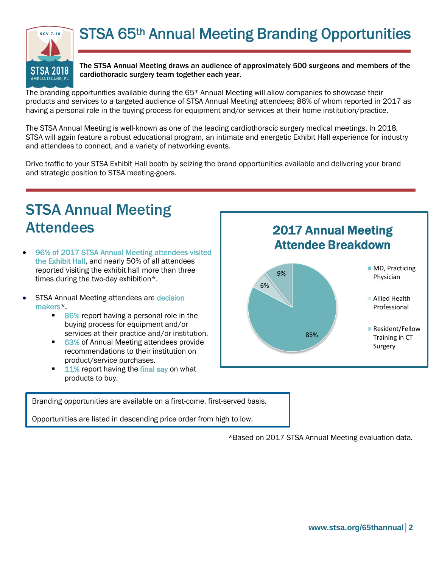

The STSA Annual Meeting draws an audience of approximately 500 surgeons and members of the cardiothoracic surgery team together each year.

The branding opportunities available during the  $65<sup>th</sup>$  Annual Meeting will allow companies to showcase their products and services to a targeted audience of STSA Annual Meeting attendees; 86% of whom reported in 2017 as having a personal role in the buying process for equipment and/or services at their home institution/practice.

The STSA Annual Meeting is well-known as one of the leading cardiothoracic surgery medical meetings. In 2018, STSA will again feature a robust educational program, an intimate and energetic Exhibit Hall experience for industry and attendees to connect, and a variety of networking events.

Drive traffic to your STSA Exhibit Hall booth by seizing the brand opportunities available and delivering your brand and strategic position to STSA meeting-goers.

# STSA Annual Meeting Attendees

- 96% of 2017 STSA Annual Meeting attendees visited the Exhibit Hall, and nearly 50% of all attendees reported visiting the exhibit hall more than three times during the two-day exhibition\*.
- STSA Annual Meeting attendees are decision makers\*.
	- 86% report having a personal role in the buying process for equipment and/or services at their practice and/or institution.
	- 63% of Annual Meeting attendees provide recommendations to their institution on product/service purchases.
	- $\blacksquare$  11% report having the final say on what products to buy.



Branding opportunities are available on a first-come, first-served basis.

Opportunities are listed in descending price order from high to low.

\*Based on 2017 STSA Annual Meeting evaluation data.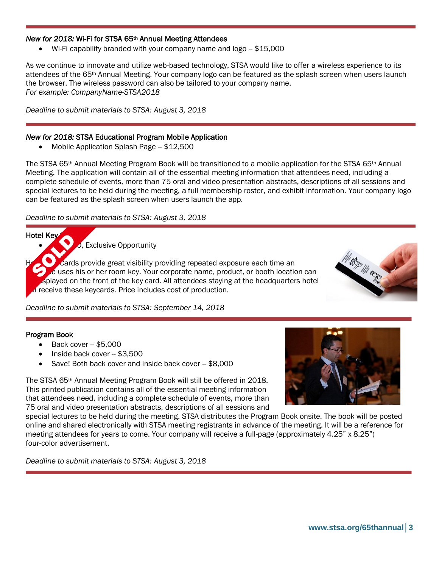### *New for 2018:* Wi-Fi for STSA 65th Annual Meeting Attendees

Wi-Fi capability branded with your company name and  $logo - $15,000$ 

As we continue to innovate and utilize web-based technology, STSA would like to offer a wireless experience to its attendees of the 65th Annual Meeting. Your company logo can be featured as the splash screen when users launch the browser. The wireless password can also be tailored to your company name. *For example: CompanyName-STSA2018*

*Deadline to submit materials to STSA: August 3, 2018*

### *New for 2018:* STSA Educational Program Mobile Application

Mobile Application Splash Page - \$12,500

The STSA 65th Annual Meeting Program Book will be transitioned to a mobile application for the STSA 65th Annual Meeting. The application will contain all of the essential meeting information that attendees need, including a complete schedule of events, more than 75 oral and video presentation abstracts, descriptions of all sessions and special lectures to be held during the meeting, a full membership roster, and exhibit information. Your company logo can be featured as the splash screen when users launch the app.

### *Deadline to submit materials to STSA: August 3, 2018*

**Hotel Key** 

l

 $\overline{10}$ , Exclusive Opportunity

Cards provide great visibility providing repeated exposure each time an  $\epsilon$  uses his or her room key. Your corporate name, product, or booth location can splayed on the front of the key card. All attendees staying at the headquarters hotel In receive these keycards. Price includes cost of production.



*Deadline to submit materials to STSA: September 14, 2018*

### Program Book

- Back cover -- \$5,000
- Inside back cover -- \$3,500
- Save! Both back cover and inside back cover -- \$8,000

The STSA 65th Annual Meeting Program Book will still be offered in 2018. This printed publication contains all of the essential meeting information that attendees need, including a complete schedule of events, more than 75 oral and video presentation abstracts, descriptions of all sessions and

special lectures to be held during the meeting. STSA distributes the Program Book onsite. The book will be posted online and shared electronically with STSA meeting registrants in advance of the meeting. It will be a reference for meeting attendees for years to come. Your company will receive a full-page (approximately 4.25" x 8.25") four-color advertisement.

*Deadline to submit materials to STSA: August 3, 2018*

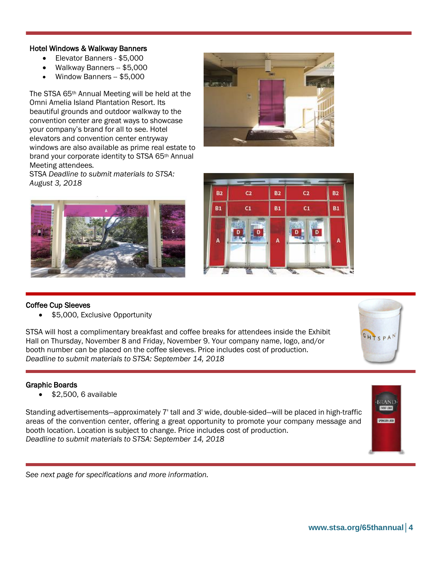### Hotel Windows & Walkway Banners

- Elevator Banners \$5,000
- Walkway Banners -- \$5,000
- Window Banners \$5,000

The STSA 65th Annual Meeting will be held at the Omni Amelia Island Plantation Resort. Its beautiful grounds and outdoor walkway to the convention center are great ways to showcase your company's brand for all to see. Hotel elevators and convention center entryway windows are also available as prime real estate to brand your corporate identity to STSA 65th Annual Meeting attendees.

STSA *Deadline to submit materials to STSA: August 3, 2018*







### Coffee Cup Sleeves

I

 $\overline{a}$ Ĩ \$5,000, Exclusive Opportunity

STSA will host a complimentary breakfast and coffee breaks for attendees inside the Exhibit Hall on Thursday, November 8 and Friday, November 9. Your company name, logo, and/or booth number can be placed on the coffee sleeves. Price includes cost of production. *Deadline to submit materials to STSA: September 14, 2018*

### Graphic Boards

\$2,500, 6 available

Standing advertisements—approximately 7' tall and 3' wide, double-sided—will be placed in high-traffic areas of the convention center, offering a great opportunity to promote your company message and booth location. Location is subject to change. Price includes cost of production. *Deadline to submit materials to STSA: September 14, 2018*



GHTSPAN

*See next page for specifications and more information.*